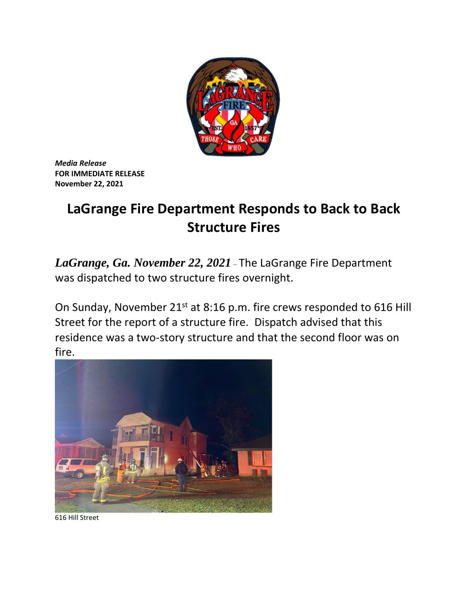

*Media Release* **FOR IMMEDIATE RELEASE November 22, 2021**

## **LaGrange Fire Department Responds to Back to Back Structure Fires**

*LaGrange, Ga. November 22, 2021* – The LaGrange Fire Department was dispatched to two structure fires overnight.

On Sunday, November 21<sup>st</sup> at 8:16 p.m. fire crews responded to 616 Hill Street for the report of a structure fire. Dispatch advised that this residence was a two-story structure and that the second floor was on fire.



616 Hill Street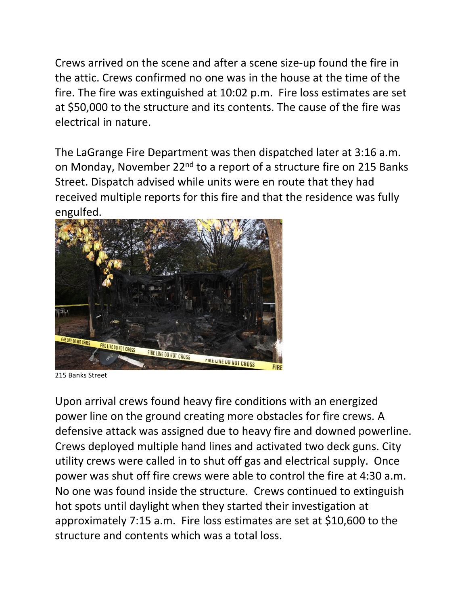Crews arrived on the scene and after a scene size-up found the fire in the attic. Crews confirmed no one was in the house at the time of the fire. The fire was extinguished at 10:02 p.m. Fire loss estimates are set at \$50,000 to the structure and its contents. The cause of the fire was electrical in nature.

The LaGrange Fire Department was then dispatched later at 3:16 a.m. on Monday, November 22<sup>nd</sup> to a report of a structure fire on 215 Banks Street. Dispatch advised while units were en route that they had received multiple reports for this fire and that the residence was fully engulfed.



215 Banks Street

Upon arrival crews found heavy fire conditions with an energized power line on the ground creating more obstacles for fire crews. A defensive attack was assigned due to heavy fire and downed powerline. Crews deployed multiple hand lines and activated two deck guns. City utility crews were called in to shut off gas and electrical supply. Once power was shut off fire crews were able to control the fire at 4:30 a.m. No one was found inside the structure. Crews continued to extinguish hot spots until daylight when they started their investigation at approximately 7:15 a.m. Fire loss estimates are set at \$10,600 to the structure and contents which was a total loss.